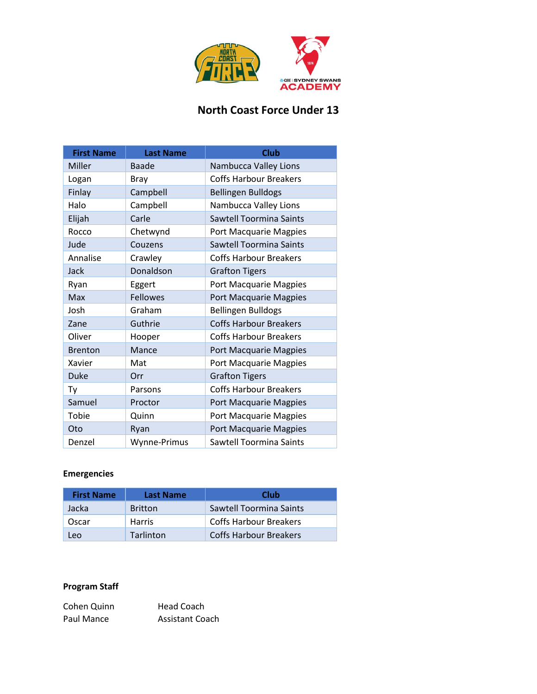

# **North Coast Force Under 13**

| <b>First Name</b> | <b>Last Name</b> | <b>Club</b>                    |
|-------------------|------------------|--------------------------------|
| Miller            | Baade            | Nambucca Valley Lions          |
| Logan             | <b>Bray</b>      | <b>Coffs Harbour Breakers</b>  |
| Finlay            | Campbell         | <b>Bellingen Bulldogs</b>      |
| Halo              | Campbell         | Nambucca Valley Lions          |
| Elijah            | Carle            | Sawtell Toormina Saints        |
| Rocco             | Chetwynd         | Port Macquarie Magpies         |
| Jude              | Couzens          | <b>Sawtell Toormina Saints</b> |
| Annalise          | Crawley          | <b>Coffs Harbour Breakers</b>  |
| <b>Jack</b>       | Donaldson        | <b>Grafton Tigers</b>          |
| Ryan              | Eggert           | Port Macquarie Magpies         |
| Max               | <b>Fellowes</b>  | Port Macquarie Magpies         |
| Josh              | Graham           | <b>Bellingen Bulldogs</b>      |
| Zane              | Guthrie          | <b>Coffs Harbour Breakers</b>  |
| Oliver            | Hooper           | <b>Coffs Harbour Breakers</b>  |
| <b>Brenton</b>    | Mance            | Port Macquarie Magpies         |
| Xavier            | Mat              | Port Macquarie Magpies         |
| <b>Duke</b>       | Orr              | <b>Grafton Tigers</b>          |
| Ty                | Parsons          | <b>Coffs Harbour Breakers</b>  |
| Samuel            | Proctor          | Port Macquarie Magpies         |
| Tobie             | Quinn            | Port Macquarie Magpies         |
| Oto               | Ryan             | Port Macquarie Magpies         |
| Denzel            | Wynne-Primus     | Sawtell Toormina Saints        |

### **Emergencies**

| <b>First Name</b> | Last Name        | Club                          |
|-------------------|------------------|-------------------------------|
| Jacka             | <b>Britton</b>   | Sawtell Toormina Saints       |
| Oscar             | <b>Harris</b>    | <b>Coffs Harbour Breakers</b> |
| Leo               | <b>Tarlinton</b> | <b>Coffs Harbour Breakers</b> |

#### **Program Staff**

| Cohen Quinn | Head Coach             |
|-------------|------------------------|
| Paul Mance  | <b>Assistant Coach</b> |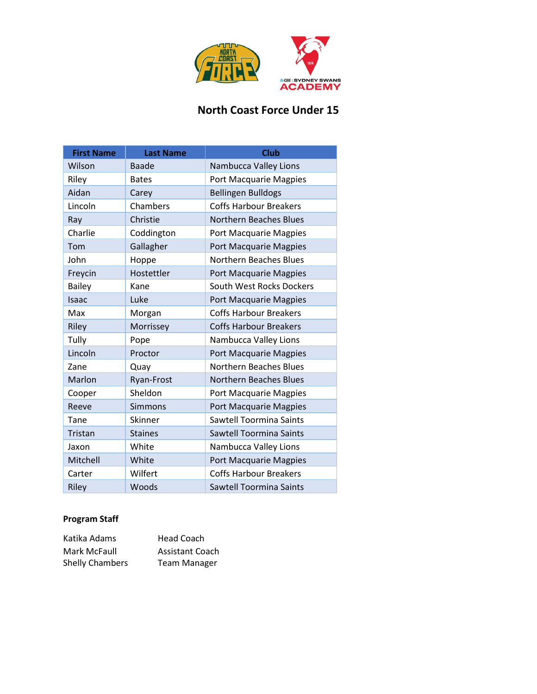

# **North Coast Force Under 15**

| <b>First Name</b> | <b>Last Name</b> | <b>Club</b>                    |
|-------------------|------------------|--------------------------------|
| Wilson            | Baade            | Nambucca Valley Lions          |
| Riley             | <b>Bates</b>     | <b>Port Macquarie Magpies</b>  |
| Aidan             | Carey            | <b>Bellingen Bulldogs</b>      |
| Lincoln           | Chambers         | <b>Coffs Harbour Breakers</b>  |
| Ray               | Christie         | <b>Northern Beaches Blues</b>  |
| Charlie           | Coddington       | Port Macquarie Magpies         |
| Tom               | Gallagher        | Port Macquarie Magpies         |
| John              | Hoppe            | <b>Northern Beaches Blues</b>  |
| Freycin           | Hostettler       | Port Macquarie Magpies         |
| <b>Bailey</b>     | Kane             | South West Rocks Dockers       |
| Isaac             | Luke             | Port Macquarie Magpies         |
| Max               | Morgan           | <b>Coffs Harbour Breakers</b>  |
| Riley             | Morrissey        | <b>Coffs Harbour Breakers</b>  |
| Tully             | Pope             | Nambucca Valley Lions          |
| Lincoln           | Proctor          | Port Macquarie Magpies         |
| Zane              | Quay             | <b>Northern Beaches Blues</b>  |
| Marlon            | Ryan-Frost       | <b>Northern Beaches Blues</b>  |
| Cooper            | Sheldon          | Port Macquarie Magpies         |
| Reeve             | <b>Simmons</b>   | Port Macquarie Magpies         |
| Tane              | Skinner          | Sawtell Toormina Saints        |
| Tristan           | <b>Staines</b>   | <b>Sawtell Toormina Saints</b> |
| Jaxon             | White            | Nambucca Valley Lions          |
| Mitchell          | White            | Port Macquarie Magpies         |
| Carter            | Wilfert          | <b>Coffs Harbour Breakers</b>  |
| Riley             | Woods            | Sawtell Toormina Saints        |

### **Program Staff**

| Katika Adams           | Head Coach             |
|------------------------|------------------------|
| Mark McFaull           | <b>Assistant Coach</b> |
| <b>Shelly Chambers</b> | <b>Team Manager</b>    |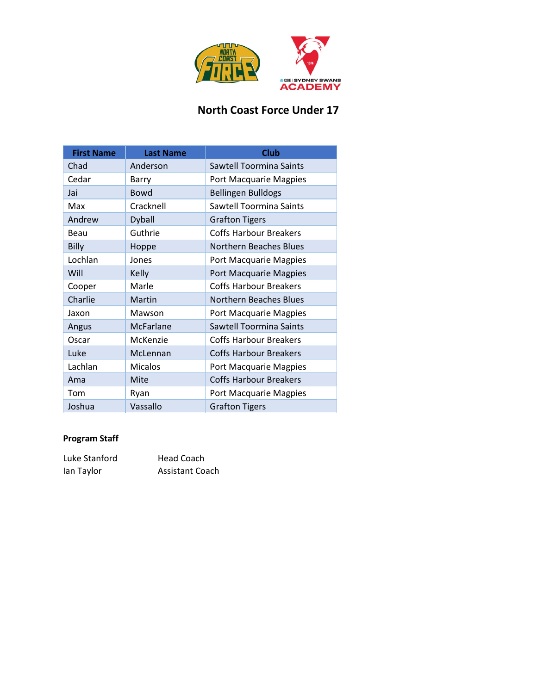

# **North Coast Force Under 17**

| <b>First Name</b> | <b>Last Name</b> | <b>Club</b>                   |
|-------------------|------------------|-------------------------------|
| Chad              | Anderson         | Sawtell Toormina Saints       |
| Cedar             | Barry            | Port Macquarie Magpies        |
| Jai               | <b>Bowd</b>      | <b>Bellingen Bulldogs</b>     |
| Max               | Cracknell        | Sawtell Toormina Saints       |
| Andrew            | Dyball           | <b>Grafton Tigers</b>         |
| Beau              | Guthrie          | <b>Coffs Harbour Breakers</b> |
| Billy             | Hoppe            | <b>Northern Beaches Blues</b> |
| Lochlan           | Jones            | Port Macquarie Magpies        |
| Will              | Kelly            | Port Macquarie Magpies        |
| Cooper            | Marle            | <b>Coffs Harbour Breakers</b> |
| Charlie           | Martin           | Northern Beaches Blues        |
| Jaxon             | Mawson           | Port Macquarie Magpies        |
| Angus             | McFarlane        | Sawtell Toormina Saints       |
| Oscar             | McKenzie         | <b>Coffs Harbour Breakers</b> |
| Luke              | McLennan         | <b>Coffs Harbour Breakers</b> |
| Lachlan           | <b>Micalos</b>   | Port Macquarie Magpies        |
| Ama               | Mite             | <b>Coffs Harbour Breakers</b> |
| Tom               | Ryan             | Port Macquarie Magpies        |
| Joshua            | Vassallo         | <b>Grafton Tigers</b>         |

#### **Program Staff**

| Luke Stanford | <b>Head Coach</b>      |
|---------------|------------------------|
| lan Taylor    | <b>Assistant Coach</b> |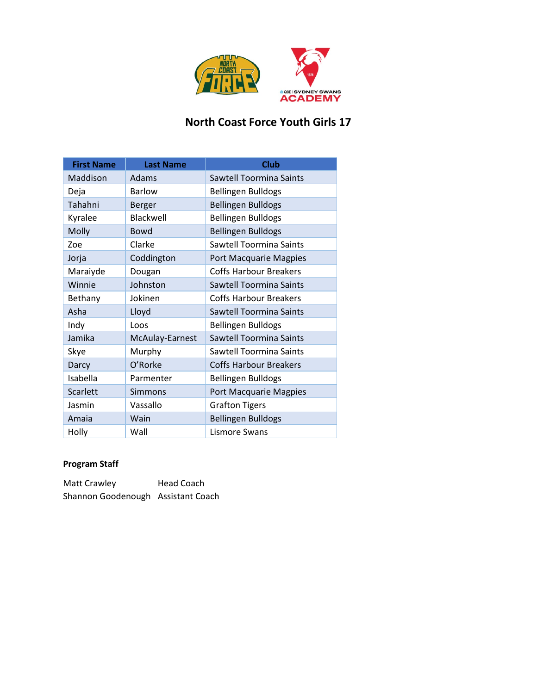

### **North Coast Force Youth Girls 17**

| <b>First Name</b> | <b>Last Name</b> | <b>Club</b>                    |
|-------------------|------------------|--------------------------------|
| Maddison          | Adams            | <b>Sawtell Toormina Saints</b> |
| Deja              | Barlow           | <b>Bellingen Bulldogs</b>      |
| Tahahni           | Berger           | <b>Bellingen Bulldogs</b>      |
| Kyralee           | Blackwell        | <b>Bellingen Bulldogs</b>      |
| Molly             | <b>Bowd</b>      | <b>Bellingen Bulldogs</b>      |
| Zoe               | Clarke           | Sawtell Toormina Saints        |
| Jorja             | Coddington       | Port Macquarie Magpies         |
| Maraiyde          | Dougan           | <b>Coffs Harbour Breakers</b>  |
| Winnie            | Johnston         | <b>Sawtell Toormina Saints</b> |
| Bethany           | Jokinen          | <b>Coffs Harbour Breakers</b>  |
| Asha              | Lloyd            | Sawtell Toormina Saints        |
| Indy              | Loos             | <b>Bellingen Bulldogs</b>      |
| Jamika            | McAulay-Earnest  | <b>Sawtell Toormina Saints</b> |
| Skye              | Murphy           | Sawtell Toormina Saints        |
| Darcy             | O'Rorke          | <b>Coffs Harbour Breakers</b>  |
| Isabella          | Parmenter        | <b>Bellingen Bulldogs</b>      |
| Scarlett          | Simmons          | Port Macquarie Magpies         |
| Jasmin            | Vassallo         | <b>Grafton Tigers</b>          |
| Amaia             | Wain             | <b>Bellingen Bulldogs</b>      |
| Holly             | Wall             | Lismore Swans                  |

#### **Program Staff**

Matt Crawley **Head Coach** Shannon Goodenough Assistant Coach